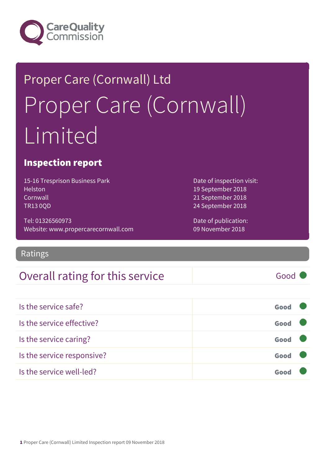

## Proper Care (Cornwall) Ltd Proper Care (Cornwall) Limited

#### Inspection report

15-16 Tresprison Business Park **Helston Cornwall** TR13 0QD

Tel: 01326560973 Website: www.propercarecornwall.com

Ratings

#### Overall rating for this service Good

19 September 2018 21 September 2018 24 September 2018

Date of inspection visit:

Date of publication: 09 November 2018

| Is the service safe?       | Good |  |
|----------------------------|------|--|
| Is the service effective?  | Good |  |
| Is the service caring?     | Good |  |
| Is the service responsive? | Good |  |
| Is the service well-led?   | Goo  |  |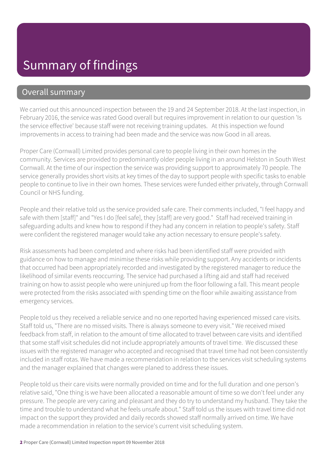#### Summary of findings

#### Overall summary

We carried out this announced inspection between the 19 and 24 September 2018. At the last inspection, in February 2016, the service was rated Good overall but requires improvement in relation to our question 'Is the service effective' because staff were not receiving training updates. At this inspection we found improvements in access to training had been made and the service was now Good in all areas.

Proper Care (Cornwall) Limited provides personal care to people living in their own homes in the community. Services are provided to predominantly older people living in an around Helston in South West Cornwall. At the time of our inspection the service was providing support to approximately 70 people. The service generally provides short visits at key times of the day to support people with specific tasks to enable people to continue to live in their own homes. These services were funded either privately, through Cornwall Council or NHS funding.

People and their relative told us the service provided safe care. Their comments included, "I feel happy and safe with them [staff]" and "Yes I do [feel safe], they [staff] are very good." Staff had received training in safeguarding adults and knew how to respond if they had any concern in relation to people's safety. Staff were confident the registered manager would take any action necessary to ensure people's safety.

Risk assessments had been completed and where risks had been identified staff were provided with guidance on how to manage and minimise these risks while providing support. Any accidents or incidents that occurred had been appropriately recorded and investigated by the registered manager to reduce the likelihood of similar events reoccurring. The service had purchased a lifting aid and staff had received training on how to assist people who were uninjured up from the floor following a fall. This meant people were protected from the risks associated with spending time on the floor while awaiting assistance from emergency services.

People told us they received a reliable service and no one reported having experienced missed care visits. Staff told us, "There are no missed visits. There is always someone to every visit." We received mixed feedback from staff, in relation to the amount of time allocated to travel between care visits and identified that some staff visit schedules did not include appropriately amounts of travel time. We discussed these issues with the registered manager who accepted and recognised that travel time had not been consistently included in staff rotas. We have made a recommendation in relation to the services visit scheduling systems and the manager explained that changes were planed to address these issues.

People told us their care visits were normally provided on time and for the full duration and one person's relative said, "One thing is we have been allocated a reasonable amount of time so we don't feel under any pressure. The people are very caring and pleasant and they do try to understand my husband. They take the time and trouble to understand what he feels unsafe about." Staff told us the issues with travel time did not impact on the support they provided and daily records showed staff normally arrived on time. We have made a recommendation in relation to the service's current visit scheduling system.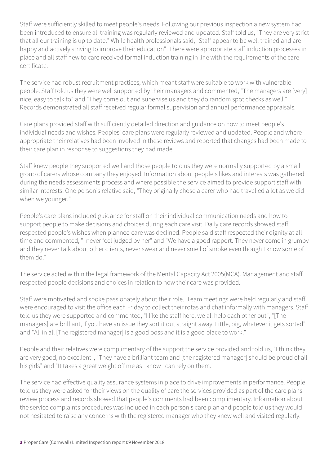Staff were sufficiently skilled to meet people's needs. Following our previous inspection a new system had been introduced to ensure all training was regularly reviewed and updated. Staff told us, "They are very strict that all our training is up to date." While health professionals said, "Staff appear to be well trained and are happy and actively striving to improve their education". There were appropriate staff induction processes in place and all staff new to care received formal induction training in line with the requirements of the care certificate.

The service had robust recruitment practices, which meant staff were suitable to work with vulnerable people. Staff told us they were well supported by their managers and commented, "The managers are [very] nice, easy to talk to" and "They come out and supervise us and they do random spot checks as well." Records demonstrated all staff received regular formal supervision and annual performance appraisals.

Care plans provided staff with sufficiently detailed direction and guidance on how to meet people's individual needs and wishes. Peoples' care plans were regularly reviewed and updated. People and where appropriate their relatives had been involved in these reviews and reported that changes had been made to their care plan in response to suggestions they had made.

Staff knew people they supported well and those people told us they were normally supported by a small group of carers whose company they enjoyed. Information about people's likes and interests was gathered during the needs assessments process and where possible the service aimed to provide support staff with similar interests. One person's relative said, "They originally chose a carer who had travelled a lot as we did when we younger."

People's care plans included guidance for staff on their individual communication needs and how to support people to make decisions and choices during each care visit. Daily care records showed staff respected people's wishes when planned care was declined. People said staff respected their dignity at all time and commented, "I never feel judged by her" and "We have a good rapport. They never come in grumpy and they never talk about other clients, never swear and never smell of smoke even though I know some of them do."

The service acted within the legal framework of the Mental Capacity Act 2005(MCA). Management and staff respected people decisions and choices in relation to how their care was provided.

Staff were motivated and spoke passionately about their role. Team meetings were held regularly and staff were encouraged to visit the office each Friday to collect their rotas and chat informally with managers. Staff told us they were supported and commented, "I like the staff here, we all help each other out", "[The managers] are brilliant, if you have an issue they sort it out straight away. Little, big, whatever it gets sorted" and "All in all [The registered manager] is a good boss and it is a good place to work."

People and their relatives were complimentary of the support the service provided and told us, "I think they are very good, no excellent", "They have a brilliant team and [the registered manager] should be proud of all his girls" and "It takes a great weight off me as I know I can rely on them."

The service had effective quality assurance systems in place to drive improvements in performance. People told us they were asked for their views on the quality of care the services provided as part of the care plans review process and records showed that people's comments had been complimentary. Information about the service complaints procedures was included in each person's care plan and people told us they would not hesitated to raise any concerns with the registered manager who they knew well and visited regularly.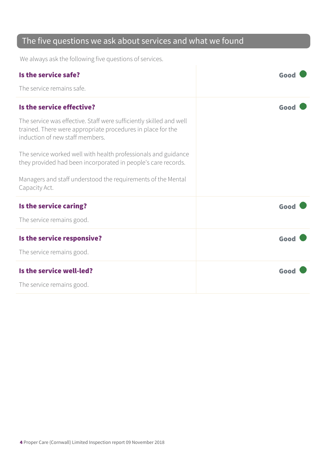#### The five questions we ask about services and what we found

We always ask the following five questions of services.

| Is the service safe?                                                                                                                                                  | Good |
|-----------------------------------------------------------------------------------------------------------------------------------------------------------------------|------|
| The service remains safe.                                                                                                                                             |      |
| Is the service effective?                                                                                                                                             | Good |
| The service was effective. Staff were sufficiently skilled and well<br>trained. There were appropriate procedures in place for the<br>induction of new staff members. |      |
| The service worked well with health professionals and guidance<br>they provided had been incorporated in people's care records.                                       |      |
| Managers and staff understood the requirements of the Mental<br>Capacity Act.                                                                                         |      |
| Is the service caring?                                                                                                                                                | Good |
| The service remains good.                                                                                                                                             |      |
| Is the service responsive?                                                                                                                                            | Good |
| The service remains good.                                                                                                                                             |      |
| Is the service well-led?                                                                                                                                              | Good |
| The service remains good.                                                                                                                                             |      |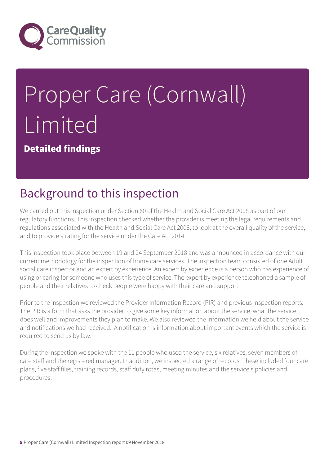

# Proper Care (Cornwall) Limited

Detailed findings

## Background to this inspection

We carried out this inspection under Section 60 of the Health and Social Care Act 2008 as part of our regulatory functions. This inspection checked whether the provider is meeting the legal requirements and regulations associated with the Health and Social Care Act 2008, to look at the overall quality of the service, and to provide a rating for the service under the Care Act 2014.

This inspection took place between 19 and 24 September 2018 and was announced in accordance with our current methodology for the inspection of home care services. The inspection team consisted of one Adult social care inspector and an expert by experience. An expert by experience is a person who has experience of using or caring for someone who uses this type of service. The expert by experience telephoned a sample of people and their relatives to check people were happy with their care and support.

Prior to the inspection we reviewed the Provider Information Record (PIR) and previous inspection reports. The PIR is a form that asks the provider to give some key information about the service, what the service does well and improvements they plan to make. We also reviewed the information we held about the service and notifications we had received. A notification is information about important events which the service is required to send us by law.

During the inspection we spoke with the 11 people who used the service, six relatives, seven members of care staff and the registered manager. In addition, we inspected a range of records. These included four care plans, five staff files, training records, staff duty rotas, meeting minutes and the service's policies and procedures.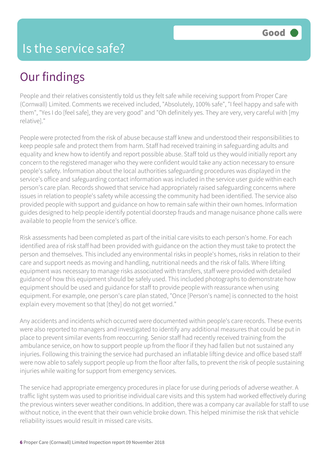## Our findings

People and their relatives consistently told us they felt safe while receiving support from Proper Care (Cornwall) Limited. Comments we received included, "Absolutely, 100% safe", "I feel happy and safe with them", "Yes I do [feel safe], they are very good" and "Oh definitely yes. They are very, very careful with [my relative]."

People were protected from the risk of abuse because staff knew and understood their responsibilities to keep people safe and protect them from harm. Staff had received training in safeguarding adults and equality and knew how to identify and report possible abuse. Staff told us they would initially report any concern to the registered manager who they were confident would take any action necessary to ensure people's safety. Information about the local authorities safeguarding procedures was displayed in the service's office and safeguarding contact information was included in the service user guide within each person's care plan. Records showed that service had appropriately raised safeguarding concerns where issues in relation to people's safety while accessing the community had been identified. The service also provided people with support and guidance on how to remain safe within their own homes. Information guides designed to help people identify potential doorstep frauds and manage nuisance phone calls were available to people from the service's office.

Risk assessments had been completed as part of the initial care visits to each person's home. For each identified area of risk staff had been provided with guidance on the action they must take to protect the person and themselves. This included any environmental risks in people's homes, risks in relation to their care and support needs as moving and handling, nutritional needs and the risk of falls. Where lifting equipment was necessary to manage risks associated with transfers, staff were provided with detailed guidance of how this equipment should be safely used. This included photographs to demonstrate how equipment should be used and guidance for staff to provide people with reassurance when using equipment. For example, one person's care plan stated, "Once [Person's name] is connected to the hoist explain every movement so that [they] do not get worried."

Any accidents and incidents which occurred were documented within people's care records. These events were also reported to managers and investigated to identify any additional measures that could be put in place to prevent similar events from reoccurring. Senior staff had recently received training from the ambulance service, on how to support people up from the floor if they had fallen but not sustained any injuries. Following this training the service had purchased an inflatable lifting device and office based staff were now able to safely support people up from the floor after falls, to prevent the risk of people sustaining injuries while waiting for support from emergency services.

The service had appropriate emergency procedures in place for use during periods of adverse weather. A traffic light system was used to prioritise individual care visits and this system had worked effectively during the previous winters sever weather conditions. In addition, there was a company car available for staff to use without notice, in the event that their own vehicle broke down. This helped minimise the risk that vehicle reliability issues would result in missed care visits.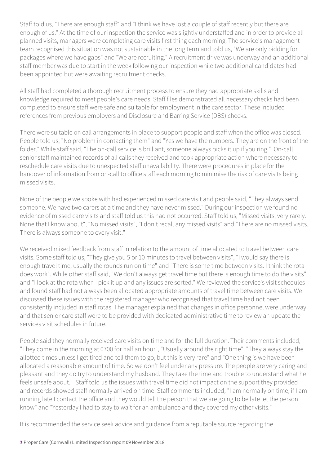Staff told us, "There are enough staff" and "I think we have lost a couple of staff recently but there are enough of us." At the time of our inspection the service was slightly understaffed and in order to provide all planned visits, managers were completing care visits first thing each morning. The service's management team recognised this situation was not sustainable in the long term and told us, "We are only bidding for packages where we have gaps" and "We are recruiting." A recruitment drive was underway and an additional staff member was due to start in the week following our inspection while two additional candidates had been appointed but were awaiting recruitment checks.

All staff had completed a thorough recruitment process to ensure they had appropriate skills and knowledge required to meet people's care needs. Staff files demonstrated all necessary checks had been completed to ensure staff were safe and suitable for employment in the care sector. These included references from previous employers and Disclosure and Barring Service (DBS) checks.

There were suitable on call arrangements in place to support people and staff when the office was closed. People told us, "No problem in contacting them" and "Yes we have the numbers. They are on the front of the folder." While staff said, "The on-call service is brilliant, someone always picks it up if you ring." On-call senior staff maintained records of all calls they received and took appropriate action where necessary to reschedule care visits due to unexpected staff unavailability. There were procedures in place for the handover of information from on-call to office staff each morning to minimise the risk of care visits being missed visits.

None of the people we spoke with had experienced missed care visit and people said, "They always send someone. We have two carers at a time and they have never missed." During our inspection we found no evidence of missed care visits and staff told us this had not occurred. Staff told us, "Missed visits, very rarely. None that I know about", "No missed visits", "I don't recall any missed visits" and "There are no missed visits. There is always someone to every visit."

We received mixed feedback from staff in relation to the amount of time allocated to travel between care visits. Some staff told us, "They give you 5 or 10 minutes to travel between visits", "I would say there is enough travel time, usually the rounds run on time" and "There is some time between visits. I think the rota does work". While other staff said, "We don't always get travel time but there is enough time to do the visits" and "I look at the rota when I pick it up and any issues are sorted." We reviewed the service's visit schedules and found staff had not always been allocated appropriate amounts of travel time between care visits. We discussed these issues with the registered manager who recognised that travel time had not been consistently included in staff rotas. The manager explained that changes in office personnel were underway and that senior care staff were to be provided with dedicated administrative time to review an update the services visit schedules in future.

People said they normally received care visits on time and for the full duration. Their comments included, "They come in the morning at 0700 for half an hour", "Usually around the right time", "They always stay the allotted times unless I get tired and tell them to go, but this is very rare" and "One thing is we have been allocated a reasonable amount of time. So we don't feel under any pressure. The people are very caring and pleasant and they do try to understand my husband. They take the time and trouble to understand what he feels unsafe about." Staff told us the issues with travel time did not impact on the support they provided and records showed staff normally arrived on time. Staff comments included, "I am normally on time, if I am running late I contact the office and they would tell the person that we are going to be late let the person know" and "Yesterday I had to stay to wait for an ambulance and they covered my other visits."

It is recommended the service seek advice and guidance from a reputable source regarding the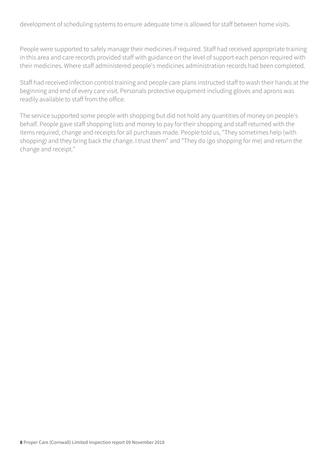development of scheduling systems to ensure adequate time is allowed for staff between home visits.

People were supported to safely manage their medicines if required. Staff had received appropriate training in this area and care records provided staff with guidance on the level of support each person required with their medicines. Where staff administered people's medicines administration records had been completed.

Staff had received infection control training and people care plans instructed staff to wash their hands at the beginning and end of every care visit. Personals protective equipment including gloves and aprons was readily available to staff from the office.

The service supported some people with shopping but did not hold any quantities of money on people's behalf. People gave staff shopping lists and money to pay for their shopping and staff returned with the items required, change and receipts for all purchases made. People told us, "They sometimes help (with shopping) and they bring back the change. I trust them" and "They do (go shopping for me) and return the change and receipt."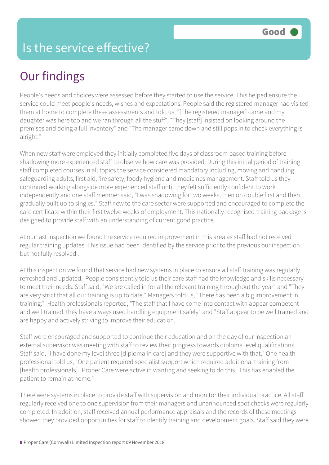#### Is the service effective?

## Our findings

People's needs and choices were assessed before they started to use the service. This helped ensure the service could meet people's needs, wishes and expectations. People said the registered manager had visited them at home to complete these assessments and told us, "[The registered manager] came and my daughter was here too and we ran through all the stuff", "They [staff] insisted on looking around the premises and doing a full inventory" and "The manager came down and still pops in to check everything is alright."

When new staff were employed they initially completed five days of classroom based training before shadowing more experienced staff to observe how care was provided. During this initial period of training staff completed courses in all topics the service considered mandatory including, moving and handling, safeguarding adults, first aid, fire safety, foody hygiene and medicines management. Staff told us they continued working alongside more experienced staff until they felt sufficiently confident to work independently and one staff member said, "I was shadowing for two weeks, then on double first and then gradually built up to singles." Staff new to the care sector were supported and encouraged to complete the care certificate within their first twelve weeks of employment. This nationally recognised training package is designed to provide staff with an understanding of current good practice.

At our last inspection we found the service required improvement in this area as staff had not received regular training updates. This issue had been identified by the service prior to the previous our inspection but not fully resolved .

At this inspection we found that service had new systems in place to ensure all staff training was regularly refreshed and updated. People consistently told us their care staff had the knowledge and skills necessary to meet their needs. Staff said, "We are called in for all the relevant training throughout the year" and "They are very strict that all our training is up to date." Managers told us, "There has been a big improvement in training." Health professionals reported, "The staff that I have come into contact with appear competent and well trained, they have always used handling equipment safely" and "Staff appear to be well trained and are happy and actively striving to improve their education."

Staff were encouraged and supported to continue their education and on the day of our inspection an external supervisor was meeting with staff to review their progress towards diploma level qualifications. Staff said, "I have done my level three [diploma in care] and they were supportive with that." One health professional told us, "One patient required specialist support which required additional training from [health professionals]. Proper Care were active in wanting and seeking to do this. This has enabled the patient to remain at home."

There were systems in place to provide staff with supervision and monitor their individual practice. All staff regularly received one to one supervision from their managers and unannounced spot checks were regularly completed. In addition, staff received annual performance appraisals and the records of these meetings showed they provided opportunities for staff to identify training and development goals. Staff said they were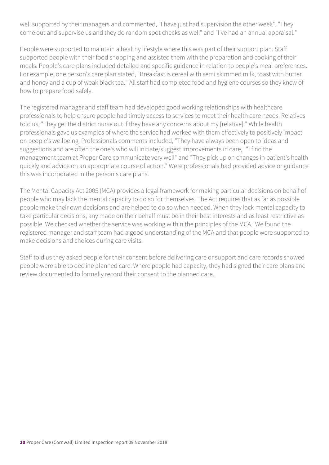well supported by their managers and commented, "I have just had supervision the other week", "They come out and supervise us and they do random spot checks as well" and "I've had an annual appraisal."

People were supported to maintain a healthy lifestyle where this was part of their support plan. Staff supported people with their food shopping and assisted them with the preparation and cooking of their meals. People's care plans included detailed and specific guidance in relation to people's meal preferences. For example, one person's care plan stated, "Breakfast is cereal with semi skimmed milk, toast with butter and honey and a cup of weak black tea." All staff had completed food and hygiene courses so they knew of how to prepare food safely.

The registered manager and staff team had developed good working relationships with healthcare professionals to help ensure people had timely access to services to meet their health care needs. Relatives told us, "They get the district nurse out if they have any concerns about my [relative]." While health professionals gave us examples of where the service had worked with them effectively to positively impact on people's wellbeing. Professionals comments included, "They have always been open to ideas and suggestions and are often the one's who will initiate/suggest improvements in care," "I find the management team at Proper Care communicate very well" and "They pick up on changes in patient's health quickly and advice on an appropriate course of action." Were professionals had provided advice or guidance this was incorporated in the person's care plans.

The Mental Capacity Act 2005 (MCA) provides a legal framework for making particular decisions on behalf of people who may lack the mental capacity to do so for themselves. The Act requires that as far as possible people make their own decisions and are helped to do so when needed. When they lack mental capacity to take particular decisions, any made on their behalf must be in their best interests and as least restrictive as possible. We checked whether the service was working within the principles of the MCA. We found the registered manager and staff team had a good understanding of the MCA and that people were supported to make decisions and choices during care visits.

Staff told us they asked people for their consent before delivering care or support and care records showed people were able to decline planned care. Where people had capacity, they had signed their care plans and review documented to formally record their consent to the planned care.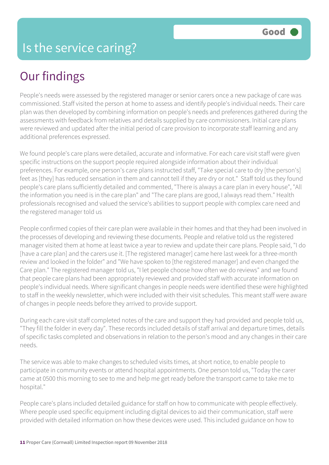## Our findings

People's needs were assessed by the registered manager or senior carers once a new package of care was commissioned. Staff visited the person at home to assess and identify people's individual needs. Their care plan was then developed by combining information on people's needs and preferences gathered during the assessments with feedback from relatives and details supplied by care commissioners. Initial care plans were reviewed and updated after the initial period of care provision to incorporate staff learning and any additional preferences expressed.

We found people's care plans were detailed, accurate and informative. For each care visit staff were given specific instructions on the support people required alongside information about their individual preferences. For example, one person's care plans instructed staff, "Take special care to dry [the person's] feet as [they] has reduced sensation in them and cannot tell if they are dry or not." Staff told us they found people's care plans sufficiently detailed and commented, "There is always a care plan in every house", "All the information you need is in the care plan" and "The care plans are good, I always read them." Health professionals recognised and valued the service's abilities to support people with complex care need and the registered manager told us

People confirmed copies of their care plan were available in their homes and that they had been involved in the processes of developing and reviewing these documents. People and relative told us the registered manager visited them at home at least twice a year to review and update their care plans. People said, "I do [have a care plan] and the carers use it. [The registered manager] came here last week for a three-month review and looked in the folder" and "We have spoken to [the registered manager] and even changed the Care plan." The registered manager told us, "I let people choose how often we do reviews" and we found that people care plans had been appropriately reviewed and provided staff with accurate information on people's individual needs. Where significant changes in people needs were identified these were highlighted to staff in the weekly newsletter, which were included with their visit schedules. This meant staff were aware of changes in people needs before they arrived to provide support.

During each care visit staff completed notes of the care and support they had provided and people told us, "They fill the folder in every day". These records included details of staff arrival and departure times, details of specific tasks completed and observations in relation to the person's mood and any changes in their care needs.

The service was able to make changes to scheduled visits times, at short notice, to enable people to participate in community events or attend hospital appointments. One person told us, "Today the carer came at 0500 this morning to see to me and help me get ready before the transport came to take me to hospital."

People care's plans included detailed guidance for staff on how to communicate with people effectively. Where people used specific equipment including digital devices to aid their communication, staff were provided with detailed information on how these devices were used. This included guidance on how to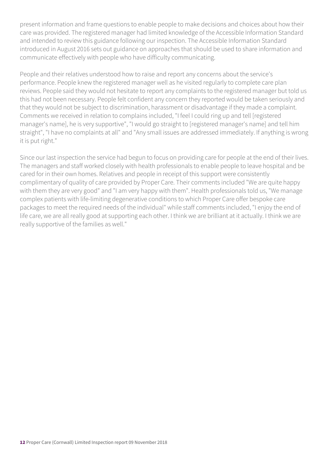present information and frame questions to enable people to make decisions and choices about how their care was provided. The registered manager had limited knowledge of the Accessible Information Standard and intended to review this guidance following our inspection. The Accessible Information Standard introduced in August 2016 sets out guidance on approaches that should be used to share information and communicate effectively with people who have difficulty communicating.

People and their relatives understood how to raise and report any concerns about the service's performance. People knew the registered manager well as he visited regularly to complete care plan reviews. People said they would not hesitate to report any complaints to the registered manager but told us this had not been necessary. People felt confident any concern they reported would be taken seriously and that they would not be subject to discrimination, harassment or disadvantage if they made a complaint. Comments we received in relation to complains included, "I feel I could ring up and tell [registered manager's name], he is very supportive", "I would go straight to [registered manager's name] and tell him straight", "I have no complaints at all" and "Any small issues are addressed immediately. If anything is wrong it is put right."

Since our last inspection the service had begun to focus on providing care for people at the end of their lives. The managers and staff worked closely with health professionals to enable people to leave hospital and be cared for in their own homes. Relatives and people in receipt of this support were consistently complimentary of quality of care provided by Proper Care. Their comments included "We are quite happy with them they are very good" and "I am very happy with them". Health professionals told us, "We manage complex patients with life-limiting degenerative conditions to which Proper Care offer bespoke care packages to meet the required needs of the individual" while staff comments included, "I enjoy the end of life care, we are all really good at supporting each other. I think we are brilliant at it actually. I think we are really supportive of the families as well."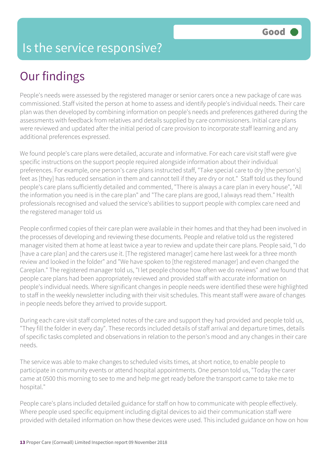#### Is the service responsive?

## Our findings

People's needs were assessed by the registered manager or senior carers once a new package of care was commissioned. Staff visited the person at home to assess and identify people's individual needs. Their care plan was then developed by combining information on people's needs and preferences gathered during the assessments with feedback from relatives and details supplied by care commissioners. Initial care plans were reviewed and updated after the initial period of care provision to incorporate staff learning and any additional preferences expressed.

We found people's care plans were detailed, accurate and informative. For each care visit staff were give specific instructions on the support people required alongside information about their individual preferences. For example, one person's care plans instructed staff, "Take special care to dry [the person's] feet as [they] has reduced sensation in them and cannot tell if they are dry or not." Staff told us they found people's care plans sufficiently detailed and commented, "There is always a care plan in every house", "All the information you need is in the care plan" and "The care plans are good, I always read them." Health professionals recognised and valued the service's abilities to support people with complex care need and the registered manager told us

People confirmed copies of their care plan were available in their homes and that they had been involved in the processes of developing and reviewing these documents. People and relative told us the registered manager visited them at home at least twice a year to review and update their care plans. People said, "I do [have a care plan] and the carers use it. [The registered manager] came here last week for a three month review and looked in the folder" and "We have spoken to [the registered manager] and even changed the Careplan." The registered manager told us, "I let people choose how often we do reviews" and we found that people care plans had been appropriately reviewed and provided staff with accurate information on people's individual needs. Where significant changes in people needs were identified these were highlighted to staff in the weekly newsletter including with their visit schedules. This meant staff were aware of changes in people needs before they arrived to provide support.

During each care visit staff completed notes of the care and support they had provided and people told us, "They fill the folder in every day". These records included details of staff arrival and departure times, details of specific tasks completed and observations in relation to the person's mood and any changes in their care needs.

The service was able to make changes to scheduled visits times, at short notice, to enable people to participate in community events or attend hospital appointments. One person told us, "Today the carer came at 0500 this morning to see to me and help me get ready before the transport came to take me to hospital."

People care's plans included detailed guidance for staff on how to communicate with people effectively. Where people used specific equipment including digital devices to aid their communication staff were provided with detailed information on how these devices were used. This included guidance on how on how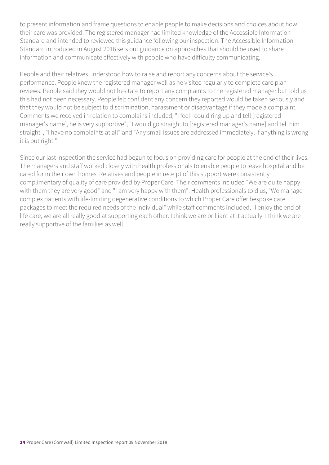to present information and frame questions to enable people to make decisions and choices about how their care was provided. The registered manager had limited knowledge of the Accessible Information Standard and intended to reviewed this guidance following our inspection. The Accessible Information Standard introduced in August 2016 sets out guidance on approaches that should be used to share information and communicate effectively with people who have difficulty communicating.

People and their relatives understood how to raise and report any concerns about the service's performance. People knew the registered manager well as he visited regularly to complete care plan reviews. People said they would not hesitate to report any complaints to the registered manager but told us this had not been necessary. People felt confident any concern they reported would be taken seriously and that they would not be subject to discrimination, harassment or disadvantage if they made a complaint. Comments we received in relation to complains included, "I feel I could ring up and tell [registered manager's name], he is very supportive", "I would go straight to [registered manager's name] and tell him straight", "I have no complaints at all" and "Any small issues are addressed immediately. If anything is wrong it is put right."

Since our last inspection the service had begun to focus on providing care for people at the end of their lives. The managers and staff worked closely with health professionals to enable people to leave hospital and be cared for in their own homes. Relatives and people in receipt of this support were consistently complimentary of quality of care provided by Proper Care. Their comments included "We are quite happy with them they are very good" and "I am very happy with them". Health professionals told us, "We manage complex patients with life-limiting degenerative conditions to which Proper Care offer bespoke care packages to meet the required needs of the individual" while staff comments included, "I enjoy the end of life care, we are all really good at supporting each other. I think we are brilliant at it actually. I think we are really supportive of the families as well."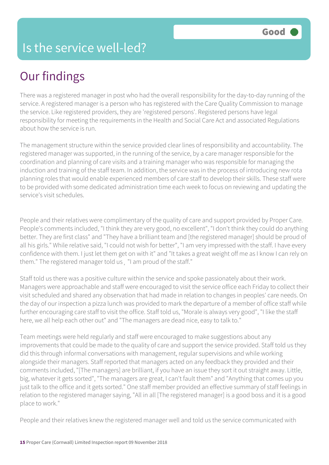#### Is the service well-led?

## Our findings

There was a registered manager in post who had the overall responsibility for the day-to-day running of the service. A registered manager is a person who has registered with the Care Quality Commission to manage the service. Like registered providers, they are 'registered persons'. Registered persons have legal responsibility for meeting the requirements in the Health and Social Care Act and associated Regulations about how the service is run.

The management structure within the service provided clear lines of responsibility and accountability. The registered manager was supported, in the running of the service, by a care manager responsible for the coordination and planning of care visits and a training manager who was responsible for managing the induction and training of the staff team. In addition, the service was in the process of introducing new rota planning roles that would enable experienced members of care staff to develop their skills. These staff were to be provided with some dedicated administration time each week to focus on reviewing and updating the service's visit schedules.

People and their relatives were complimentary of the quality of care and support provided by Proper Care. People's comments included, "I think they are very good, no excellent", "I don't think they could do anything better. They are first class" and "They have a brilliant team and [the registered manager] should be proud of all his girls." While relative said, "I could not wish for better", "I am very impressed with the staff. I have every confidence with them. I just let them get on with it" and "It takes a great weight off me as I know I can rely on them." The registered manager told us¸ "I am proud of the staff."

Staff told us there was a positive culture within the service and spoke passionately about their work. Managers were approachable and staff were encouraged to visit the service office each Friday to collect their visit scheduled and shared any observation that had made in relation to changes in peoples' care needs. On the day of our inspection a pizza lunch was provided to mark the departure of a member of office staff while further encouraging care staff to visit the office. Staff told us, "Morale is always very good", "I like the staff here, we all help each other out" and "The managers are dead nice, easy to talk to."

Team meetings were held regularly and staff were encouraged to make suggestions about any improvements that could be made to the quality of care and support the service provided. Staff told us they did this through informal conversations with management, regular supervisions and while working alongside their managers. Staff reported that managers acted on any feedback they provided and their comments included, "[The managers] are brilliant, if you have an issue they sort it out straight away. Little, big, whatever it gets sorted", "The managers are great, I can't fault them" and "Anything that comes up you just talk to the office and it gets sorted." One staff member provided an effective summary of staff feelings in relation to the registered manager saying, "All in all [The registered manager] is a good boss and it is a good place to work."

People and their relatives knew the registered manager well and told us the service communicated with